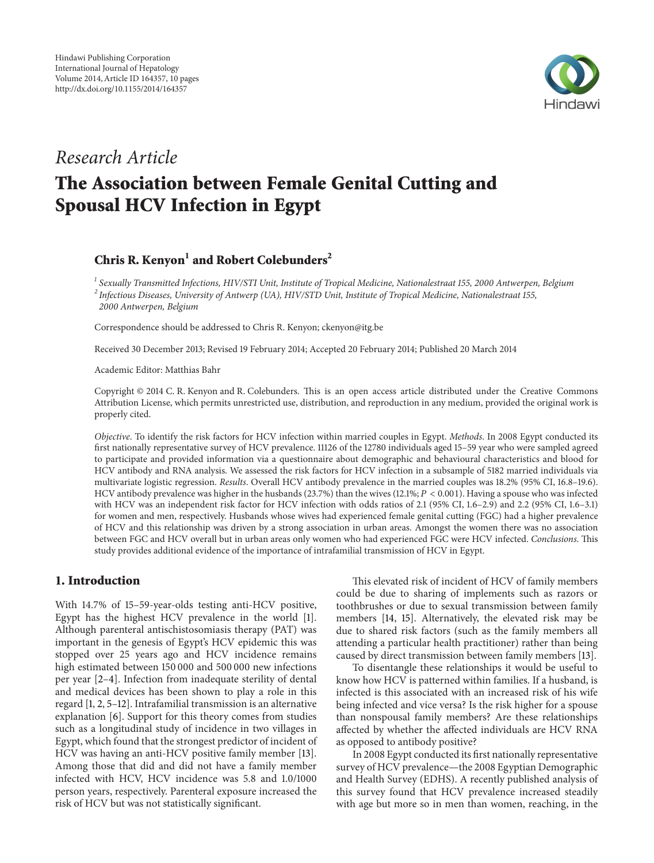

## *Research Article*

# **The Association between Female Genital Cutting and Spousal HCV Infection in Egypt**

### **Chris R. Kenyon<sup>1</sup> and Robert Colebunders<sup>2</sup>**

*<sup>1</sup> Sexually Transmitted Infections, HIV/STI Unit, Institute of Tropical Medicine, Nationalestraat 155, 2000 Antwerpen, Belgium <sup>2</sup> Infectious Diseases, University of Antwerp (UA), HIV/STD Unit, Institute of Tropical Medicine, Nationalestraat 155, 2000 Antwerpen, Belgium*

Correspondence should be addressed to Chris R. Kenyon; ckenyon@itg.be

Received 30 December 2013; Revised 19 February 2014; Accepted 20 February 2014; Published 20 March 2014

Academic Editor: Matthias Bahr

Copyright © 2014 C. R. Kenyon and R. Colebunders. This is an open access article distributed under the Creative Commons Attribution License, which permits unrestricted use, distribution, and reproduction in any medium, provided the original work is properly cited.

*Objective*. To identify the risk factors for HCV infection within married couples in Egypt. *Methods*. In 2008 Egypt conducted its first nationally representative survey of HCV prevalence. 11126 of the 12780 individuals aged 15–59 year who were sampled agreed to participate and provided information via a questionnaire about demographic and behavioural characteristics and blood for HCV antibody and RNA analysis. We assessed the risk factors for HCV infection in a subsample of 5182 married individuals via multivariate logistic regression. *Results*. Overall HCV antibody prevalence in the married couples was 18.2% (95% CI, 16.8–19.6). HCV antibody prevalence was higher in the husbands (23.7%) than the wives (12.1%;  $P < 0.001$ ). Having a spouse who was infected with HCV was an independent risk factor for HCV infection with odds ratios of 2.1 (95% CI, 1.6–2.9) and 2.2 (95% CI, 1.6–3.1) for women and men, respectively. Husbands whose wives had experienced female genital cutting (FGC) had a higher prevalence of HCV and this relationship was driven by a strong association in urban areas. Amongst the women there was no association between FGC and HCV overall but in urban areas only women who had experienced FGC were HCV infected. *Conclusions*. This study provides additional evidence of the importance of intrafamilial transmission of HCV in Egypt.

#### **1. Introduction**

With 14.7% of 15–59-year-olds testing anti-HCV positive, Egypt has the highest HCV prevalence in the world [1]. Although parenteral antischistosomiasis therapy (PAT) was important in the genesis of Egypt's HCV epidemic this was stopped over 25 years ago and HCV incidence remains high estimated between 150 000 and 500 000 new infections per year [2–4]. Infection from inadequate sterility of dental and medical devices has been shown to play a role in this regard [1, 2, 5–12]. Intrafamilial transmission is an alternative explanation [6]. Support for this theory comes from studies such as a longitudinal study of incidence in two villages in Egypt, which found that the strongest predictor of incident of HCV was having an anti-HCV positive family member [13]. Among those that did and did not have a family member infected with HCV, HCV incidence was 5.8 and 1.0/1000 person years, respectively. Parenteral exposure increased the risk of HCV but was not statistically significant.

This elevated risk of incident of HCV of family members could be due to sharing of implements such as razors or toothbrushes or due to sexual transmission between family members [14, 15]. Alternatively, the elevated risk may be due to shared risk factors (such as the family members all attending a particular health practitioner) rather than being caused by direct transmission between family members [13].

To disentangle these relationships it would be useful to know how HCV is patterned within families. If a husband, is infected is this associated with an increased risk of his wife being infected and vice versa? Is the risk higher for a spouse than nonspousal family members? Are these relationships affected by whether the affected individuals are HCV RNA as opposed to antibody positive?

In 2008 Egypt conducted its first nationally representative survey of HCV prevalence—the 2008 Egyptian Demographic and Health Survey (EDHS). A recently published analysis of this survey found that HCV prevalence increased steadily with age but more so in men than women, reaching, in the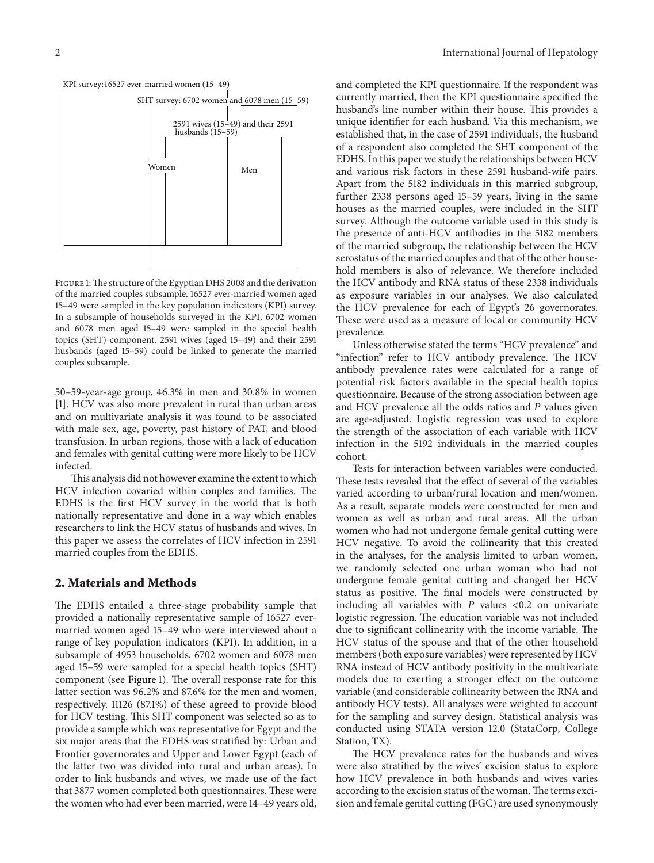



FIGURE 1: The structure of the Egyptian DHS 2008 and the derivation of the married couples subsample. 16527 ever-married women aged 15–49 were sampled in the key population indicators (KPI) survey. In a subsample of households surveyed in the KPI, 6702 women and 6078 men aged 15–49 were sampled in the special health topics (SHT) component. 2591 wives (aged 15–49) and their 2591 husbands (aged 15–59) could be linked to generate the married couples subsample.

50–59-year-age group, 46.3% in men and 30.8% in women [1]. HCV was also more prevalent in rural than urban areas and on multivariate analysis it was found to be associated with male sex, age, poverty, past history of PAT, and blood transfusion. In urban regions, those with a lack of education and females with genital cutting were more likely to be HCV infected.

This analysis did not however examine the extent to which HCV infection covaried within couples and families. The EDHS is the first HCV survey in the world that is both nationally representative and done in a way which enables researchers to link the HCV status of husbands and wives. In this paper we assess the correlates of HCV infection in 2591 married couples from the EDHS.

#### **2. Materials and Methods**

The EDHS entailed a three-stage probability sample that provided a nationally representative sample of 16527 evermarried women aged 15–49 who were interviewed about a range of key population indicators (KPI). In addition, in a subsample of 4953 households, 6702 women and 6078 men aged 15–59 were sampled for a special health topics (SHT) component (see Figure 1). The overall response rate for this latter section was 96.2% and 87.6% for the men and women, respectively. 11126 (87.1%) of these agreed to provide blood for HCV testing. This SHT component was selected so as to provide a sample which was representative for Egypt and the six major areas that the EDHS was stratified by: Urban and Frontier governorates and Upper and Lower Egypt (each of the latter two was divided into rural and urban areas). In order to link husbands and wives, we made use of the fact that 3877 women completed both questionnaires. These were the women who had ever been married, were 14–49 years old,

and completed the KPI questionnaire. If the respondent was currently married, then the KPI questionnaire specified the husband's line number within their house. This provides a unique identifier for each husband. Via this mechanism, we established that, in the case of 2591 individuals, the husband of a respondent also completed the SHT component of the EDHS. In this paper we study the relationships between HCV and various risk factors in these 2591 husband-wife pairs. Apart from the 5182 individuals in this married subgroup, further 2338 persons aged 15–59 years, living in the same houses as the married couples, were included in the SHT survey. Although the outcome variable used in this study is the presence of anti-HCV antibodies in the 5182 members of the married subgroup, the relationship between the HCV serostatus of the married couples and that of the other household members is also of relevance. We therefore included the HCV antibody and RNA status of these 2338 individuals as exposure variables in our analyses. We also calculated the HCV prevalence for each of Egypt's 26 governorates. These were used as a measure of local or community HCV prevalence.

Unless otherwise stated the terms "HCV prevalence" and "infection" refer to HCV antibody prevalence. The HCV antibody prevalence rates were calculated for a range of potential risk factors available in the special health topics questionnaire. Because of the strong association between age and HCV prevalence all the odds ratios and  $P$  values given are age-adjusted. Logistic regression was used to explore the strength of the association of each variable with HCV infection in the 5192 individuals in the married couples cohort.

Tests for interaction between variables were conducted. These tests revealed that the effect of several of the variables varied according to urban/rural location and men/women. As a result, separate models were constructed for men and women as well as urban and rural areas. All the urban women who had not undergone female genital cutting were HCV negative. To avoid the collinearity that this created in the analyses, for the analysis limited to urban women, we randomly selected one urban woman who had not undergone female genital cutting and changed her HCV status as positive. The final models were constructed by including all variables with  $P$  values <0.2 on univariate logistic regression. The education variable was not included due to significant collinearity with the income variable. The HCV status of the spouse and that of the other household members (both exposure variables) were represented by HCV RNA instead of HCV antibody positivity in the multivariate models due to exerting a stronger effect on the outcome variable (and considerable collinearity between the RNA and antibody HCV tests). All analyses were weighted to account for the sampling and survey design. Statistical analysis was conducted using STATA version 12.0 (StataCorp, College Station, TX).

The HCV prevalence rates for the husbands and wives were also stratified by the wives' excision status to explore how HCV prevalence in both husbands and wives varies according to the excision status of the woman. The terms excision and female genital cutting (FGC) are used synonymously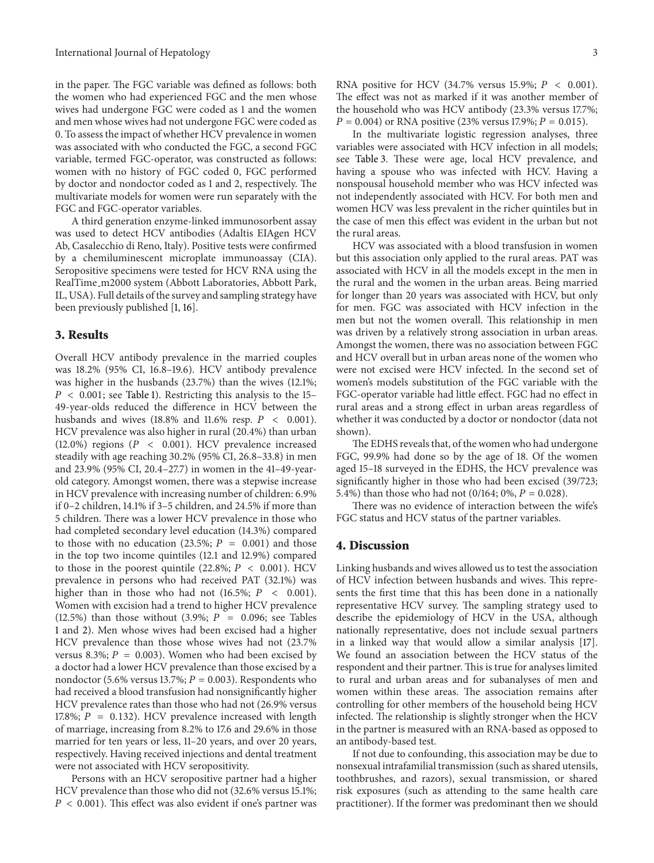in the paper. The FGC variable was defined as follows: both the women who had experienced FGC and the men whose wives had undergone FGC were coded as 1 and the women and men whose wives had not undergone FGC were coded as 0. To assess the impact of whether HCV prevalence in women was associated with who conducted the FGC, a second FGC variable, termed FGC-operator, was constructed as follows: women with no history of FGC coded 0, FGC performed by doctor and nondoctor coded as 1 and 2, respectively. The multivariate models for women were run separately with the FGC and FGC-operator variables.

A third generation enzyme-linked immunosorbent assay was used to detect HCV antibodies (Adaltis EIAgen HCV Ab, Casalecchio di Reno, Italy). Positive tests were confirmed by a chemiluminescent microplate immunoassay (CIA). Seropositive specimens were tested for HCV RNA using the RealTime m2000 system (Abbott Laboratories, Abbott Park, IL, USA). Full details of the survey and sampling strategy have been previously published [1, 16].

#### **3. Results**

Overall HCV antibody prevalence in the married couples was 18.2% (95% CI, 16.8–19.6). HCV antibody prevalence was higher in the husbands (23.7%) than the wives (12.1%;  $P < 0.001$ ; see Table 1). Restricting this analysis to the 15-49-year-olds reduced the difference in HCV between the husbands and wives  $(18.8\% \text{ and } 11.6\% \text{ resp. } P < 0.001)$ . HCV prevalence was also higher in rural (20.4%) than urban (12.0%) regions ( $P < 0.001$ ). HCV prevalence increased steadily with age reaching 30.2% (95% CI, 26.8–33.8) in men and 23.9% (95% CI, 20.4–27.7) in women in the 41–49-yearold category. Amongst women, there was a stepwise increase in HCV prevalence with increasing number of children: 6.9% if 0–2 children, 14.1% if 3–5 children, and 24.5% if more than 5 children. There was a lower HCV prevalence in those who had completed secondary level education (14.3%) compared to those with no education (23.5%;  $P = 0.001$ ) and those in the top two income quintiles (12.1 and 12.9%) compared to those in the poorest quintile (22.8%;  $P < 0.001$ ). HCV prevalence in persons who had received PAT (32.1%) was higher than in those who had not (16.5%;  $P < 0.001$ ). Women with excision had a trend to higher HCV prevalence (12.5%) than those without (3.9%;  $P = 0.096$ ; see Tables 1 and 2). Men whose wives had been excised had a higher HCV prevalence than those whose wives had not (23.7% versus 8.3%;  $P = 0.003$ ). Women who had been excised by a doctor had a lower HCV prevalence than those excised by a nondoctor (5.6% versus 13.7%;  $P = 0.003$ ). Respondents who had received a blood transfusion had nonsignificantly higher HCV prevalence rates than those who had not (26.9% versus 17.8%;  $P = 0.132$ ). HCV prevalence increased with length of marriage, increasing from 8.2% to 17.6 and 29.6% in those married for ten years or less, 11–20 years, and over 20 years, respectively. Having received injections and dental treatment were not associated with HCV seropositivity.

Persons with an HCV seropositive partner had a higher HCV prevalence than those who did not (32.6% versus 15.1%;  $P < 0.001$ ). This effect was also evident if one's partner was

RNA positive for HCV (34.7% versus 15.9%;  $P < 0.001$ ). The effect was not as marked if it was another member of the household who was HCV antibody (23.3% versus 17.7%;  $P = 0.004$ ) or RNA positive (23% versus 17.9%;  $P = 0.015$ ).

In the multivariate logistic regression analyses, three variables were associated with HCV infection in all models; see Table 3. These were age, local HCV prevalence, and having a spouse who was infected with HCV. Having a nonspousal household member who was HCV infected was not independently associated with HCV. For both men and women HCV was less prevalent in the richer quintiles but in the case of men this effect was evident in the urban but not the rural areas.

HCV was associated with a blood transfusion in women but this association only applied to the rural areas. PAT was associated with HCV in all the models except in the men in the rural and the women in the urban areas. Being married for longer than 20 years was associated with HCV, but only for men. FGC was associated with HCV infection in the men but not the women overall. This relationship in men was driven by a relatively strong association in urban areas. Amongst the women, there was no association between FGC and HCV overall but in urban areas none of the women who were not excised were HCV infected. In the second set of women's models substitution of the FGC variable with the FGC-operator variable had little effect. FGC had no effect in rural areas and a strong effect in urban areas regardless of whether it was conducted by a doctor or nondoctor (data not shown).

The EDHS reveals that, of the women who had undergone FGC, 99.9% had done so by the age of 18. Of the women aged 15–18 surveyed in the EDHS, the HCV prevalence was significantly higher in those who had been excised (39/723; 5.4%) than those who had not  $(0/164; 0\%, P = 0.028)$ .

There was no evidence of interaction between the wife's FGC status and HCV status of the partner variables.

#### **4. Discussion**

Linking husbands and wives allowed us to test the association of HCV infection between husbands and wives. This represents the first time that this has been done in a nationally representative HCV survey. The sampling strategy used to describe the epidemiology of HCV in the USA, although nationally representative, does not include sexual partners in a linked way that would allow a similar analysis [17]. We found an association between the HCV status of the respondent and their partner. This is true for analyses limited to rural and urban areas and for subanalyses of men and women within these areas. The association remains after controlling for other members of the household being HCV infected. The relationship is slightly stronger when the HCV in the partner is measured with an RNA-based as opposed to an antibody-based test.

If not due to confounding, this association may be due to nonsexual intrafamilial transmission (such as shared utensils, toothbrushes, and razors), sexual transmission, or shared risk exposures (such as attending to the same health care practitioner). If the former was predominant then we should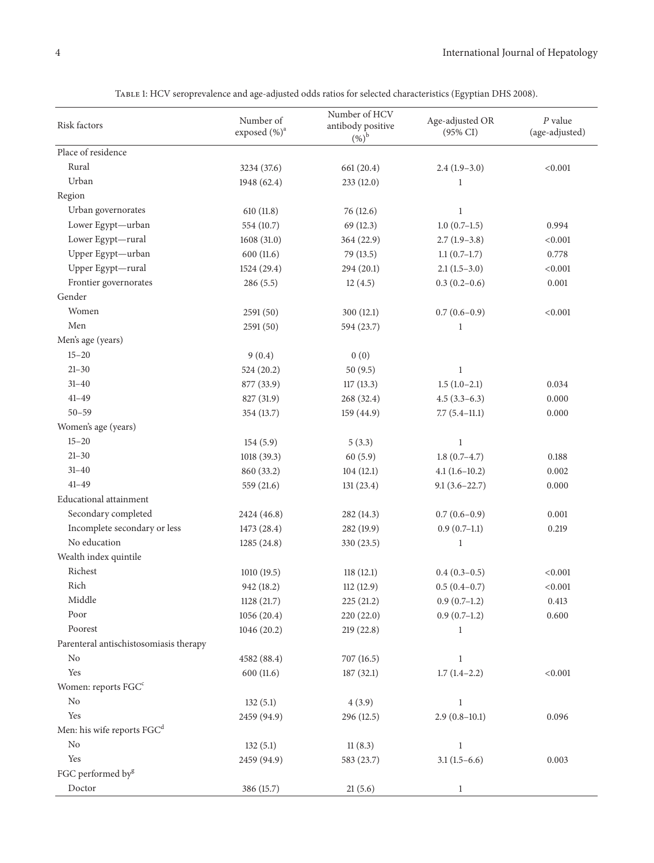| Risk factors                           | Number of<br>exposed (%) <sup>a</sup> | Number of HCV<br>antibody positive<br>$(%)^{\rm b}$ | Age-adjusted OR<br>$(95\% \text{ CI})$ | $P$ value<br>(age-adjusted) |
|----------------------------------------|---------------------------------------|-----------------------------------------------------|----------------------------------------|-----------------------------|
| Place of residence                     |                                       |                                                     |                                        |                             |
| Rural                                  | 3234 (37.6)                           | 661 (20.4)                                          | $2.4(1.9-3.0)$                         | < 0.001                     |
| Urban                                  | 1948 (62.4)                           | 233 (12.0)                                          | 1                                      |                             |
| Region                                 |                                       |                                                     |                                        |                             |
| Urban governorates                     | 610(11.8)                             | 76 (12.6)                                           | $\mathbf{1}$                           |                             |
| Lower Egypt-urban                      | 554 (10.7)                            | 69(12.3)                                            | $1.0(0.7-1.5)$                         | 0.994                       |
| Lower Egypt-rural                      | 1608 (31.0)                           | 364 (22.9)                                          | $2.7(1.9-3.8)$                         | < 0.001                     |
| Upper Egypt-urban                      | 600(11.6)                             | 79 (13.5)                                           | $1.1(0.7-1.7)$                         | 0.778                       |
| Upper Egypt-rural                      | 1524 (29.4)                           | 294 (20.1)                                          | $2.1(1.5-3.0)$                         | < 0.001                     |
| Frontier governorates                  | 286(5.5)                              | 12(4.5)                                             | $0.3(0.2-0.6)$                         | 0.001                       |
| Gender                                 |                                       |                                                     |                                        |                             |
| Women                                  | 2591(50)                              | 300(12.1)                                           | $0.7(0.6-0.9)$                         | < 0.001                     |
| Men                                    | 2591(50)                              | 594 (23.7)                                          | 1                                      |                             |
| Men's age (years)                      |                                       |                                                     |                                        |                             |
| $15 - 20$                              | 9(0.4)                                | 0(0)                                                |                                        |                             |
| $21 - 30$                              | 524 (20.2)                            | 50(9.5)                                             | $\,1$                                  |                             |
| $31 - 40$                              | 877 (33.9)                            | 117(13.3)                                           | $1.5(1.0-2.1)$                         | 0.034                       |
| $41 - 49$                              | 827 (31.9)                            | 268 (32.4)                                          | $4.5(3.3-6.3)$                         | 0.000                       |
| $50 - 59$                              | 354 (13.7)                            | 159 (44.9)                                          | $7.7(5.4-11.1)$                        | 0.000                       |
| Women's age (years)                    |                                       |                                                     |                                        |                             |
| $15 - 20$                              | 154(5.9)                              | 5(3.3)                                              | $\mathbf{1}$                           |                             |
| $21 - 30$                              | 1018(39.3)                            | 60(5.9)                                             | $1.8(0.7-4.7)$                         | 0.188                       |
| $31 - 40$                              | 860 (33.2)                            | 104(12.1)                                           | $4.1(1.6-10.2)$                        | 0.002                       |
| $41 - 49$                              | 559 (21.6)                            | 131(23.4)                                           | $9.1(3.6 - 22.7)$                      | 0.000                       |
| <b>Educational</b> attainment          |                                       |                                                     |                                        |                             |
| Secondary completed                    | 2424 (46.8)                           | 282 (14.3)                                          | $0.7(0.6-0.9)$                         | 0.001                       |
| Incomplete secondary or less           | 1473 (28.4)                           | 282 (19.9)                                          | $0.9(0.7-1.1)$                         | 0.219                       |
| No education                           | 1285 (24.8)                           | 330 (23.5)                                          | 1                                      |                             |
| Wealth index quintile                  |                                       |                                                     |                                        |                             |
| Richest                                | 1010 (19.5)                           | 118(12.1)                                           | $0.4(0.3-0.5)$                         | < 0.001                     |
| Rich                                   | 942 (18.2)                            | 112 (12.9)                                          | $0.5(0.4-0.7)$                         | < 0.001                     |
| Middle                                 | 1128 (21.7)                           | 225(21.2)                                           | $0.9(0.7-1.2)$                         | 0.413                       |
| Poor                                   | 1056 (20.4)                           | 220 (22.0)                                          | $0.9(0.7-1.2)$                         | 0.600                       |
| Poorest                                | 1046 (20.2)                           | 219(22.8)                                           | 1                                      |                             |
| Parenteral antischistosomiasis therapy |                                       |                                                     |                                        |                             |
| N <sub>o</sub>                         | 4582 (88.4)                           | 707 (16.5)                                          | 1                                      |                             |
| Yes                                    | 600(11.6)                             | 187(32.1)                                           | $1.7(1.4-2.2)$                         | < 0.001                     |
| Women: reports FGC <sup>c</sup>        |                                       |                                                     |                                        |                             |
| No                                     | 132(5.1)                              | 4(3.9)                                              | $\mathbf{1}$                           |                             |
| Yes                                    | 2459 (94.9)                           | 296 (12.5)                                          | $2.9(0.8-10.1)$                        | 0.096                       |
| Men: his wife reports FGC <sup>d</sup> |                                       |                                                     |                                        |                             |
| No                                     | 132(5.1)                              | 11(8.3)                                             | $\mathbf{1}$                           |                             |
| Yes                                    | 2459 (94.9)                           | 583 (23.7)                                          | $3.1(1.5-6.6)$                         | 0.003                       |
| FGC performed by <sup>g</sup>          |                                       |                                                     |                                        |                             |
| Doctor                                 | 386 (15.7)                            | 21(5.6)                                             | $\mathbf{1}$                           |                             |

Table 1: HCV seroprevalence and age-adjusted odds ratios for selected characteristics (Egyptian DHS 2008).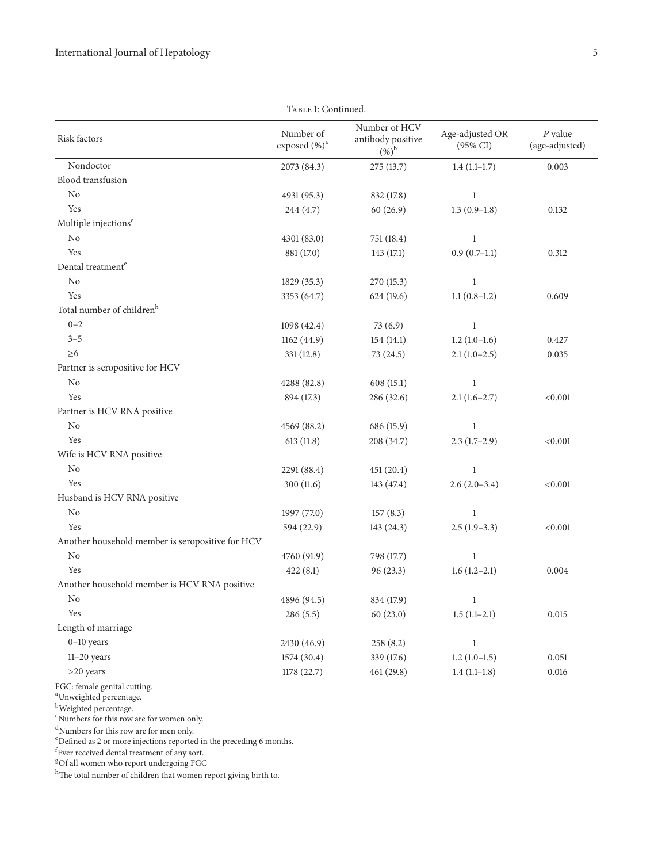|                                                  | TABLE 1: Continued.                   |                                                     |                                        |                             |
|--------------------------------------------------|---------------------------------------|-----------------------------------------------------|----------------------------------------|-----------------------------|
| Risk factors                                     | Number of<br>exposed (%) <sup>a</sup> | Number of HCV<br>antibody positive<br>$(%)^{\rm b}$ | Age-adjusted OR<br>$(95\% \text{ CI})$ | $P$ value<br>(age-adjusted) |
| Nondoctor                                        | 2073 (84.3)                           | 275 (13.7)                                          | $1.4(1.1-1.7)$                         | 0.003                       |
| Blood transfusion                                |                                       |                                                     |                                        |                             |
| No                                               | 4931 (95.3)                           | 832 (17.8)                                          | $\mathbf{1}$                           |                             |
| Yes                                              | 244 (4.7)                             | 60(26.9)                                            | $1.3(0.9-1.8)$                         | 0.132                       |
| Multiple injections <sup>e</sup>                 |                                       |                                                     |                                        |                             |
| N <sub>o</sub>                                   | 4301 (83.0)                           | 751 (18.4)                                          | $\mathbf{1}$                           |                             |
| Yes                                              | 881 (17.0)                            | 143 (17.1)                                          | $0.9(0.7-1.1)$                         | 0.312                       |
| Dental treatment <sup>e</sup>                    |                                       |                                                     |                                        |                             |
| No                                               | 1829 (35.3)                           | 270 (15.3)                                          | 1                                      |                             |
| Yes                                              | 3353 (64.7)                           | 624 (19.6)                                          | $1.1(0.8-1.2)$                         | 0.609                       |
| Total number of children <sup>h</sup>            |                                       |                                                     |                                        |                             |
| $0 - 2$                                          | 1098 (42.4)                           | 73(6.9)                                             | $\mathbf{1}$                           |                             |
| $3 - 5$                                          | 1162 (44.9)                           | 154(14.1)                                           | $1.2(1.0-1.6)$                         | 0.427                       |
| $\geq 6$                                         | 331 (12.8)                            | 73 (24.5)                                           | $2.1(1.0-2.5)$                         | 0.035                       |
| Partner is seropositive for HCV                  |                                       |                                                     |                                        |                             |
| No                                               | 4288 (82.8)                           | 608 (15.1)                                          | 1                                      |                             |
| Yes                                              | 894 (17.3)                            | 286 (32.6)                                          | $2.1(1.6-2.7)$                         | < 0.001                     |
| Partner is HCV RNA positive                      |                                       |                                                     |                                        |                             |
| No                                               | 4569 (88.2)                           | 686 (15.9)                                          | 1                                      |                             |
| Yes                                              | 613(11.8)                             | 208 (34.7)                                          | $2.3(1.7-2.9)$                         | < 0.001                     |
| Wife is HCV RNA positive                         |                                       |                                                     |                                        |                             |
| No                                               | 2291 (88.4)                           | 451 (20.4)                                          | 1                                      |                             |
| Yes                                              | 300 (11.6)                            | 143 (47.4)                                          | $2.6(2.0-3.4)$                         | < 0.001                     |
| Husband is HCV RNA positive                      |                                       |                                                     |                                        |                             |
| N <sub>o</sub>                                   | 1997 (77.0)                           | 157(8.3)                                            | 1                                      |                             |
| Yes                                              | 594 (22.9)                            | 143 (24.3)                                          | $2.5(1.9-3.3)$                         | < 0.001                     |
| Another household member is seropositive for HCV |                                       |                                                     |                                        |                             |
| No                                               | 4760 (91.9)                           | 798 (17.7)                                          | $\mathbf{1}$                           |                             |
| Yes                                              | 422(8.1)                              | 96 (23.3)                                           | $1.6(1.2-2.1)$                         | 0.004                       |
| Another household member is HCV RNA positive     |                                       |                                                     |                                        |                             |
| $\rm No$                                         | 4896 (94.5)                           | 834 (17.9)                                          | $\mathbf{1}$                           |                             |
| Yes                                              | 286 (5.5)                             | 60(23.0)                                            | $1.5(1.1-2.1)$                         | 0.015                       |
| Length of marriage                               |                                       |                                                     |                                        |                             |
| $0-10$ years                                     | 2430 (46.9)                           | 258 (8.2)                                           | $\mathbf{1}$                           |                             |
| $11-20$ years                                    | 1574 (30.4)                           | 339 (17.6)                                          | $1.2(1.0-1.5)$                         | $0.051\,$                   |
| >20 years                                        | 1178 (22.7)                           | 461 (29.8)                                          | $1.4(1.1-1.8)$                         | $0.016\,$                   |

FGC: female genital cutting. a Unweighted percentage.

<sup>b</sup>Weighted percentage.<br><sup>c</sup>Numbers for this row are for women only.

 $\mathrm{d}_\mathrm{N$ umbers for this row are for men only.<br> $\mathrm{d}_\mathrm{D}$  and  $\mathrm{d}_\mathrm{S}$  as 2 or more injections reported in the preceding 6 months.

f Ever received dental treatment of any sort.

<sup>g</sup>Of all women who report undergoing FGC

hThe total number of children that women report giving birth to.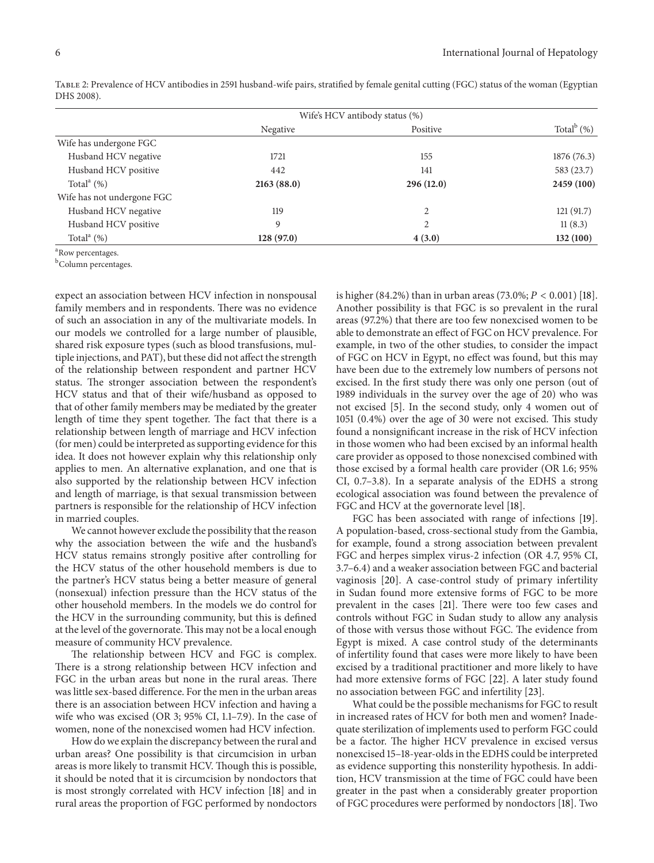|                            |            | Wife's HCV antibody status (%) |                  |
|----------------------------|------------|--------------------------------|------------------|
|                            | Negative   | Positive                       | Total $^{b}$ (%) |
| Wife has undergone FGC     |            |                                |                  |
| Husband HCV negative       | 1721       | 155                            | 1876 (76.3)      |
| Husband HCV positive       | 442        | 141                            | 583 (23.7)       |
| Total $^{\circ}$ (%)       | 2163(88.0) | 296(12.0)                      | 2459 (100)       |
| Wife has not undergone FGC |            |                                |                  |
| Husband HCV negative       | 119        | 2                              | 121(91.7)        |
| Husband HCV positive       | 9          | 2                              | 11(8.3)          |
| Total $^a$ (%)             | 128 (97.0) | 4(3.0)                         | 132 (100)        |

Table 2: Prevalence of HCV antibodies in 2591 husband-wife pairs, stratified by female genital cutting (FGC) status of the woman (Egyptian DHS 2008).

<sup>a</sup> Row percentages.

<sup>b</sup>Column percentages.

expect an association between HCV infection in nonspousal family members and in respondents. There was no evidence of such an association in any of the multivariate models. In our models we controlled for a large number of plausible, shared risk exposure types (such as blood transfusions, multiple injections, and PAT), but these did not affect the strength of the relationship between respondent and partner HCV status. The stronger association between the respondent's HCV status and that of their wife/husband as opposed to that of other family members may be mediated by the greater length of time they spent together. The fact that there is a relationship between length of marriage and HCV infection (for men) could be interpreted as supporting evidence for this idea. It does not however explain why this relationship only applies to men. An alternative explanation, and one that is also supported by the relationship between HCV infection and length of marriage, is that sexual transmission between partners is responsible for the relationship of HCV infection in married couples.

We cannot however exclude the possibility that the reason why the association between the wife and the husband's HCV status remains strongly positive after controlling for the HCV status of the other household members is due to the partner's HCV status being a better measure of general (nonsexual) infection pressure than the HCV status of the other household members. In the models we do control for the HCV in the surrounding community, but this is defined at the level of the governorate. This may not be a local enough measure of community HCV prevalence.

The relationship between HCV and FGC is complex. There is a strong relationship between HCV infection and FGC in the urban areas but none in the rural areas. There was little sex-based difference. For the men in the urban areas there is an association between HCV infection and having a wife who was excised (OR 3; 95% CI, 1.1–7.9). In the case of women, none of the nonexcised women had HCV infection.

How do we explain the discrepancy between the rural and urban areas? One possibility is that circumcision in urban areas is more likely to transmit HCV. Though this is possible, it should be noted that it is circumcision by nondoctors that is most strongly correlated with HCV infection [18] and in rural areas the proportion of FGC performed by nondoctors is higher (84.2%) than in urban areas (73.0%;  $P < 0.001$ ) [18]. Another possibility is that FGC is so prevalent in the rural areas (97.2%) that there are too few nonexcised women to be able to demonstrate an effect of FGC on HCV prevalence. For example, in two of the other studies, to consider the impact of FGC on HCV in Egypt, no effect was found, but this may have been due to the extremely low numbers of persons not excised. In the first study there was only one person (out of 1989 individuals in the survey over the age of 20) who was not excised [5]. In the second study, only 4 women out of 1051 (0.4%) over the age of 30 were not excised. This study found a nonsignificant increase in the risk of HCV infection in those women who had been excised by an informal health care provider as opposed to those nonexcised combined with those excised by a formal health care provider (OR 1.6; 95% CI, 0.7–3.8). In a separate analysis of the EDHS a strong ecological association was found between the prevalence of FGC and HCV at the governorate level [18].

FGC has been associated with range of infections [19]. A population-based, cross-sectional study from the Gambia, for example, found a strong association between prevalent FGC and herpes simplex virus-2 infection (OR 4.7, 95% CI, 3.7–6.4) and a weaker association between FGC and bacterial vaginosis [20]. A case-control study of primary infertility in Sudan found more extensive forms of FGC to be more prevalent in the cases [21]. There were too few cases and controls without FGC in Sudan study to allow any analysis of those with versus those without FGC. The evidence from Egypt is mixed. A case control study of the determinants of infertility found that cases were more likely to have been excised by a traditional practitioner and more likely to have had more extensive forms of FGC [22]. A later study found no association between FGC and infertility [23].

What could be the possible mechanisms for FGC to result in increased rates of HCV for both men and women? Inadequate sterilization of implements used to perform FGC could be a factor. The higher HCV prevalence in excised versus nonexcised 15–18-year-olds in the EDHS could be interpreted as evidence supporting this nonsterility hypothesis. In addition, HCV transmission at the time of FGC could have been greater in the past when a considerably greater proportion of FGC procedures were performed by nondoctors [18]. Two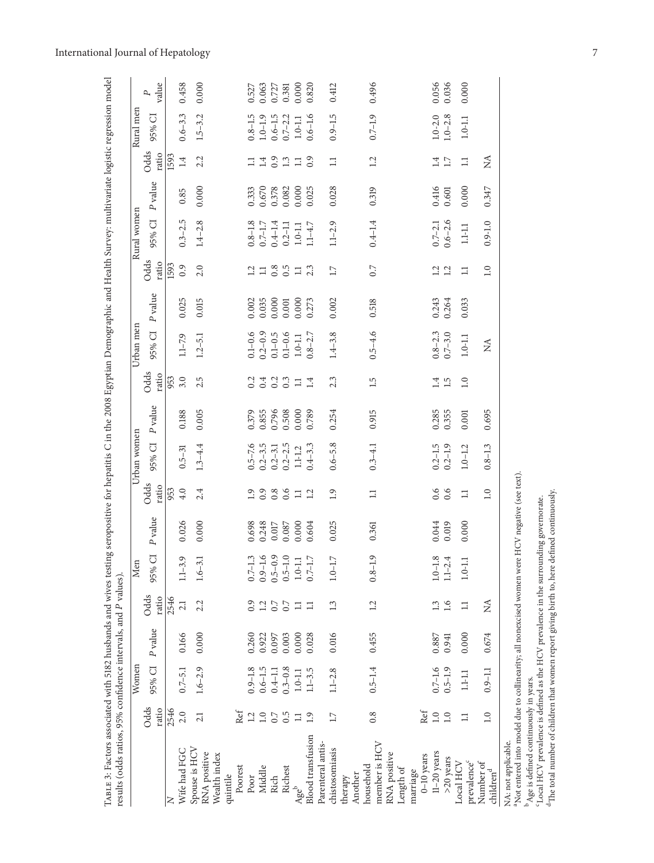| TABLE 3: Factors associated with 5182 husbands and wives testing seropositive for hepatitis C in the 2008 Egyptian Demographic and Health Survey: multivariate logistic regression model<br>results (odds ratios, 95% confidence intervals, and P values). |                 |                        |           |                  |                                                                                               |                           |                  |                            |         |                   |                        |                |               |                        |         |               |                            |            |
|------------------------------------------------------------------------------------------------------------------------------------------------------------------------------------------------------------------------------------------------------------|-----------------|------------------------|-----------|------------------|-----------------------------------------------------------------------------------------------|---------------------------|------------------|----------------------------|---------|-------------------|------------------------|----------------|---------------|------------------------|---------|---------------|----------------------------|------------|
|                                                                                                                                                                                                                                                            |                 | Women                  |           |                  | Men                                                                                           |                           |                  | Urban women                |         |                   | Urban men              |                |               | Rural women            |         |               | Rural men                  |            |
|                                                                                                                                                                                                                                                            | Odds<br>ratio   | 95% CI                 | P value   | Odds<br>ratio    | 95% CI                                                                                        | P value                   | Odds<br>ratio    | 95% CI                     | P value | Odds<br>ratio     | 95% CI                 | P value        | Odds<br>ratio | 95% CI                 | P value | Odds<br>ratio | 95% CI                     | value<br>Ρ |
|                                                                                                                                                                                                                                                            | 2546            |                        |           | 2546             |                                                                                               |                           | 953              |                            |         | 953               |                        |                | 1593          |                        |         | 1593          |                            |            |
| Wife had FGC                                                                                                                                                                                                                                               | 2.0             | $0.7 - 5.1$            | 0.166     | 2.1              | $1.1 - 3.9$                                                                                   | 0.026                     | 4.0              | $0.5 - 31$                 | 0.188   | 3.0               | $1.1 - 7.9$            | 0.025          | 0.9           | $0.3 - 2.5$            | 0.85    | 1.4           | $0.6 - 3.3$                | 0.458      |
| Spouse is HCV<br>RNA positive                                                                                                                                                                                                                              | 21              | $1.6 - 2.9$            | 0.000     | 2.2              | $1.6 - 3.1$                                                                                   | 0.000                     | 2.4              | $1.3 - 4.4$                | 0.005   | 2.5               | $1.2 - 5.1$            | 0.015          | 2.0           | $1.4 - 2.8$            | 0.000   | 2.2           | $1.5 - 3.2$                | 0.000      |
| Wealth index<br>quintile                                                                                                                                                                                                                                   |                 |                        |           |                  |                                                                                               |                           |                  |                            |         |                   |                        |                |               |                        |         |               |                            |            |
| Poorest                                                                                                                                                                                                                                                    | Ref             |                        |           |                  |                                                                                               |                           |                  |                            |         |                   |                        |                |               |                        |         |               |                            |            |
| Poor                                                                                                                                                                                                                                                       | $\overline{12}$ | $0.9 - 1.8$            | 0.260     | 0.9              | $0.7 - 1.$                                                                                    | 0.698                     | $\overline{1.9}$ |                            | 0.379   |                   |                        | 0.002          |               |                        | 0.333   | $\Xi$         | $0.8 - 1.5$                | 0.527      |
| Middle                                                                                                                                                                                                                                                     | $1.0\,$         | $0.6 - 1.5$            | 0.922     | 1.2              | $\omega$ $\sigma$                                                                             | 0.248                     | 0.9              | $0.5 - 7.6$<br>$0.2 - 3.5$ | 0.855   | 0.4               | $0.1 - 0.6$<br>0.2-0.9 | 0.035          | 1.3805        | $0.8 - 1.8$<br>0.7-1.7 | 0.670   |               | $1.0 - 1.9$                | 0.063      |
| Rich                                                                                                                                                                                                                                                       | 0.7             | $0.4 - 1.1$<br>0.3-0.8 | 0.097     | $\frac{7}{0.7}$  | $\begin{array}{c} 0.9-1.6 \\ 0.5-0.9 \\ 0.5-1.0 \\ 1.0-1.1 \\ 1.0-1.1 \\ 0.7-1.7 \end{array}$ | $0.017\phantom{000}0.087$ | 0.8              | $0.2 - 3.1$                | 0.796   | $\frac{0.2}{0.3}$ | $0.1 - 0.5$            | 0.000          |               | $0.4 - 1.4$            | 0.378   | $1.4$ 0.3     | $0.6 - 1.5$<br>0.7-2.2     | 0.727      |
| Richest                                                                                                                                                                                                                                                    | 0.5             |                        | 0.003     |                  |                                                                                               |                           |                  | $0.2 - 2.5$                | 0.508   |                   | $0.1 - 0.6$            | $0.001$        |               | $0.2 - 1.1$            | 0.082   |               |                            | 0.381      |
| Ageb                                                                                                                                                                                                                                                       | Ξ               | $1.0 - 1.1$            | 0.000     | $\Xi$            |                                                                                               | 0.000                     | $\Xi$            | $1.1 - 1.2$                | 0.000   | $\Xi$             | $1.0 - 1.1$            | 0.000          | $\Xi$         | $1.0\hbox{-}1.1$       | 0.000   | $\Xi$         | $1.0 - 1.1$                | 0.000      |
| <b>Blood</b> transfusion                                                                                                                                                                                                                                   | 1.9             | $1.1 - 3.5$            | 0.028     | $\Box$           |                                                                                               | 0.604                     | 1.2              | $0.4 - 3.3$                | 0.789   | 1.4               | $0.8 - 2.7$            | 0.273          | 2.3           | $1.1 - 4.7$            | 0.025   | 0.9           | $0.6 - 1.6$                | 0.820      |
| Parenteral antis-                                                                                                                                                                                                                                          |                 |                        |           |                  |                                                                                               |                           |                  |                            |         |                   |                        |                |               |                        |         |               |                            |            |
| chistosomiasis                                                                                                                                                                                                                                             | 17              | $1.1 - 2.8$            | 0.016     | 1.3              | $1.0\mbox{--}1.7$                                                                             | 0.025                     | $\overline{1.9}$ | $0.6 - 5.8$                | 0.254   | 2.3               | $1.4 - 3.8$            | 0.002          | 17            | $1.1 - 2.9$            | 0.028   | $\Xi$         | $0.9 - 1.5$                | 0.412      |
| therapy                                                                                                                                                                                                                                                    |                 |                        |           |                  |                                                                                               |                           |                  |                            |         |                   |                        |                |               |                        |         |               |                            |            |
| Another                                                                                                                                                                                                                                                    |                 |                        |           |                  |                                                                                               |                           |                  |                            |         |                   |                        |                |               |                        |         |               |                            |            |
| household                                                                                                                                                                                                                                                  | 0.8             | $0.5 - 1.4$            | 0.455     | 1.2              | $\circ$<br>$0.8 - 1.$                                                                         | 0.361                     | $\Box$           | $0.3 - 4.1$                | 0.915   | 1.5               | $0.5 - 4.6$            | 0.518          | 0.7           | $0.4 - 1.4$            | 0.319   | 12            | $0.7 - 1.9$                | 0.496      |
| member is HCV                                                                                                                                                                                                                                              |                 |                        |           |                  |                                                                                               |                           |                  |                            |         |                   |                        |                |               |                        |         |               |                            |            |
| RNA positive                                                                                                                                                                                                                                               |                 |                        |           |                  |                                                                                               |                           |                  |                            |         |                   |                        |                |               |                        |         |               |                            |            |
| Length of<br>marriage                                                                                                                                                                                                                                      |                 |                        |           |                  |                                                                                               |                           |                  |                            |         |                   |                        |                |               |                        |         |               |                            |            |
| $0-10$ years                                                                                                                                                                                                                                               | Ref             |                        |           |                  |                                                                                               |                           |                  |                            |         |                   |                        |                |               |                        |         |               |                            |            |
| $11-20$ years                                                                                                                                                                                                                                              | 1.0             | $0.7 - 1.6$            | $0.887\,$ | 1.3              |                                                                                               | 0.044                     | 0.6              | $0.2 - 1.5$                | 0.285   | 1.4               |                        |                |               | $0.7 - 2.1$            | 0.416   | 1.4           |                            | 0.056      |
| $>20$ years                                                                                                                                                                                                                                                | 1.0             | $0.5 - 1.9$            | 0.941     | 1.6              | $1.0 - 1.8$<br>$1.1 - 2.4$                                                                    | 0.019                     | 0.6              | $0.2 - 1.9$                | 0.355   | 1.5               | $0.8 - 2.3$<br>0.7-3.0 | 0.243<br>0.264 | 1.2           | $0.6 - 2.6$            | 0.601   | 1.7           | $1.0 - 2.0$<br>$1.0 - 2.8$ | 0.036      |
| Local HCV                                                                                                                                                                                                                                                  | $\Box$          | $1.1 - 1.1$            | 0.000     | $\Box$           | ⊣<br>$1.0 - 1.$                                                                               | 0.000                     | $\equiv$         | $1.0 - 1.2$                | 0.001   | 1.0               | $1.0 - 1.1$            | 0.033          | $\Box$        | $1.1 - 1.1$            | 0.000   | $\Box$        | $1.0-1.1\,$                | 0.000      |
| prevalence <sup>c</sup>                                                                                                                                                                                                                                    |                 |                        |           |                  |                                                                                               |                           |                  |                            |         |                   |                        |                |               |                        |         |               |                            |            |
| Number of<br>$\text{children}^\text{d}$                                                                                                                                                                                                                    | 1.0             | $0.9 - 1.1$            | 0.674     | $\sum_{i=1}^{n}$ |                                                                                               |                           | $\overline{1.0}$ | $0.8 - 1.3$                | 0.695   |                   | $\lessapprox$          |                | 1.0           | $0.9 - 1.0$            | 0.347   | $\lessapprox$ |                            |            |
| NA: not applicable.<br>$a \sim r$                                                                                                                                                                                                                          | $\frac{1}{2}$   | i                      | ř         |                  |                                                                                               |                           |                  |                            |         |                   |                        |                |               |                        |         |               |                            |            |

<sup>a</sup>Not entered into model due to collinearity; all nonexcised women were HCV negative (see text).  $b$  Age is defined continuously in years.

cLocal HCV prevalence is defined as the HCV prevalence in the surrounding governorate.

 $^a$  Not entered into model due to collinearity; all nonexcised women were HCV negative (see text).  $^b$  Age is defined continuously in years.  $^c$  Local HCV prevalence is defined as the HCV prevalence in the surrounding <sup>d</sup>The total number of children that women report giving birth to, here defined continuously.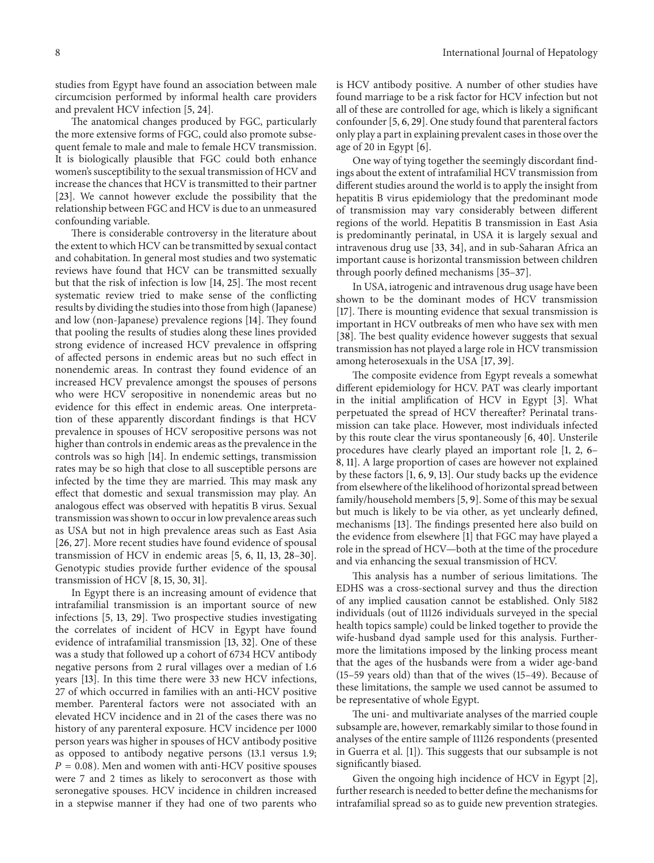studies from Egypt have found an association between male circumcision performed by informal health care providers and prevalent HCV infection [5, 24].

The anatomical changes produced by FGC, particularly the more extensive forms of FGC, could also promote subsequent female to male and male to female HCV transmission. It is biologically plausible that FGC could both enhance women's susceptibility to the sexual transmission of HCV and increase the chances that HCV is transmitted to their partner [23]. We cannot however exclude the possibility that the relationship between FGC and HCV is due to an unmeasured confounding variable.

There is considerable controversy in the literature about the extent to which HCV can be transmitted by sexual contact and cohabitation. In general most studies and two systematic reviews have found that HCV can be transmitted sexually but that the risk of infection is low [14, 25]. The most recent systematic review tried to make sense of the conflicting results by dividing the studies into those from high (Japanese) and low (non-Japanese) prevalence regions [14]. They found that pooling the results of studies along these lines provided strong evidence of increased HCV prevalence in offspring of affected persons in endemic areas but no such effect in nonendemic areas. In contrast they found evidence of an increased HCV prevalence amongst the spouses of persons who were HCV seropositive in nonendemic areas but no evidence for this effect in endemic areas. One interpretation of these apparently discordant findings is that HCV prevalence in spouses of HCV seropositive persons was not higher than controls in endemic areas as the prevalence in the controls was so high [14]. In endemic settings, transmission rates may be so high that close to all susceptible persons are infected by the time they are married. This may mask any effect that domestic and sexual transmission may play. An analogous effect was observed with hepatitis B virus. Sexual transmission was shown to occur in low prevalence areas such as USA but not in high prevalence areas such as East Asia [26, 27]. More recent studies have found evidence of spousal transmission of HCV in endemic areas [5, 6, 11, 13, 28–30]. Genotypic studies provide further evidence of the spousal transmission of HCV [8, 15, 30, 31].

In Egypt there is an increasing amount of evidence that intrafamilial transmission is an important source of new infections [5, 13, 29]. Two prospective studies investigating the correlates of incident of HCV in Egypt have found evidence of intrafamilial transmission [13, 32]. One of these was a study that followed up a cohort of 6734 HCV antibody negative persons from 2 rural villages over a median of 1.6 years [13]. In this time there were 33 new HCV infections, 27 of which occurred in families with an anti-HCV positive member. Parenteral factors were not associated with an elevated HCV incidence and in 21 of the cases there was no history of any parenteral exposure. HCV incidence per 1000 person years was higher in spouses of HCV antibody positive as opposed to antibody negative persons (13.1 versus 1.9;  $P = 0.08$ ). Men and women with anti-HCV positive spouses were 7 and 2 times as likely to seroconvert as those with seronegative spouses. HCV incidence in children increased in a stepwise manner if they had one of two parents who is HCV antibody positive. A number of other studies have found marriage to be a risk factor for HCV infection but not all of these are controlled for age, which is likely a significant confounder [5, 6, 29]. One study found that parenteral factors only play a part in explaining prevalent cases in those over the age of 20 in Egypt [6].

One way of tying together the seemingly discordant findings about the extent of intrafamilial HCV transmission from different studies around the world is to apply the insight from hepatitis B virus epidemiology that the predominant mode of transmission may vary considerably between different regions of the world. Hepatitis B transmission in East Asia is predominantly perinatal, in USA it is largely sexual and intravenous drug use [33, 34], and in sub-Saharan Africa an important cause is horizontal transmission between children through poorly defined mechanisms [35–37].

In USA, iatrogenic and intravenous drug usage have been shown to be the dominant modes of HCV transmission [17]. There is mounting evidence that sexual transmission is important in HCV outbreaks of men who have sex with men [38]. The best quality evidence however suggests that sexual transmission has not played a large role in HCV transmission among heterosexuals in the USA [17, 39].

The composite evidence from Egypt reveals a somewhat different epidemiology for HCV. PAT was clearly important in the initial amplification of HCV in Egypt [3]. What perpetuated the spread of HCV thereafter? Perinatal transmission can take place. However, most individuals infected by this route clear the virus spontaneously [6, 40]. Unsterile procedures have clearly played an important role [1, 2, 6– 8, 11]. A large proportion of cases are however not explained by these factors [1, 6, 9, 13]. Our study backs up the evidence from elsewhere of the likelihood of horizontal spread between family/household members [5, 9]. Some of this may be sexual but much is likely to be via other, as yet unclearly defined, mechanisms [13]. The findings presented here also build on the evidence from elsewhere [1] that FGC may have played a role in the spread of HCV—both at the time of the procedure and via enhancing the sexual transmission of HCV.

This analysis has a number of serious limitations. The EDHS was a cross-sectional survey and thus the direction of any implied causation cannot be established. Only 5182 individuals (out of 11126 individuals surveyed in the special health topics sample) could be linked together to provide the wife-husband dyad sample used for this analysis. Furthermore the limitations imposed by the linking process meant that the ages of the husbands were from a wider age-band (15–59 years old) than that of the wives (15–49). Because of these limitations, the sample we used cannot be assumed to be representative of whole Egypt.

The uni- and multivariate analyses of the married couple subsample are, however, remarkably similar to those found in analyses of the entire sample of 11126 respondents (presented in Guerra et al. [1]). This suggests that our subsample is not significantly biased.

Given the ongoing high incidence of HCV in Egypt [2], further research is needed to better define the mechanisms for intrafamilial spread so as to guide new prevention strategies.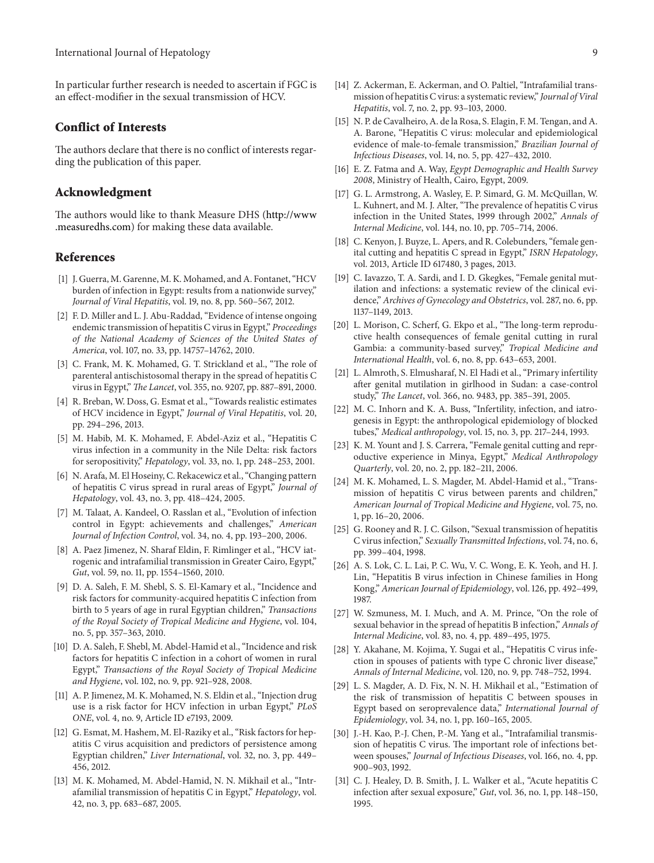In particular further research is needed to ascertain if FGC is an effect-modifier in the sexual transmission of HCV.

#### **Conflict of Interests**

The authors declare that there is no conflict of interests regarding the publication of this paper.

#### **Acknowledgment**

The authors would like to thank Measure DHS [\(http://www](http://www.measuredhs.com) [.measuredhs.com\)](http://www.measuredhs.com) for making these data available.

#### **References**

- [1] J. Guerra, M. Garenne, M. K. Mohamed, and A. Fontanet, "HCV burden of infection in Egypt: results from a nationwide survey," *Journal of Viral Hepatitis*, vol. 19, no. 8, pp. 560–567, 2012.
- [2] F. D. Miller and L. J. Abu-Raddad, "Evidence of intense ongoing endemic transmission of hepatitis C virus in Egypt," *Proceedings of the National Academy of Sciences of the United States of America*, vol. 107, no. 33, pp. 14757–14762, 2010.
- [3] C. Frank, M. K. Mohamed, G. T. Strickland et al., "The role of parenteral antischistosomal therapy in the spread of hepatitis C virus in Egypt," *The Lancet*, vol. 355, no. 9207, pp. 887–891, 2000.
- [4] R. Breban, W. Doss, G. Esmat et al., "Towards realistic estimates of HCV incidence in Egypt," *Journal of Viral Hepatitis*, vol. 20, pp. 294–296, 2013.
- [5] M. Habib, M. K. Mohamed, F. Abdel-Aziz et al., "Hepatitis C virus infection in a community in the Nile Delta: risk factors for seropositivity," *Hepatology*, vol. 33, no. 1, pp. 248–253, 2001.
- [6] N. Arafa, M. El Hoseiny, C. Rekacewicz et al., "Changing pattern of hepatitis C virus spread in rural areas of Egypt," *Journal of Hepatology*, vol. 43, no. 3, pp. 418–424, 2005.
- [7] M. Talaat, A. Kandeel, O. Rasslan et al., "Evolution of infection control in Egypt: achievements and challenges," *American Journal of Infection Control*, vol. 34, no. 4, pp. 193–200, 2006.
- [8] A. Paez Jimenez, N. Sharaf Eldin, F. Rimlinger et al., "HCV iatrogenic and intrafamilial transmission in Greater Cairo, Egypt," *Gut*, vol. 59, no. 11, pp. 1554–1560, 2010.
- [9] D. A. Saleh, F. M. Shebl, S. S. El-Kamary et al., "Incidence and risk factors for community-acquired hepatitis C infection from birth to 5 years of age in rural Egyptian children," *Transactions of the Royal Society of Tropical Medicine and Hygiene*, vol. 104, no. 5, pp. 357–363, 2010.
- [10] D. A. Saleh, F. Shebl, M. Abdel-Hamid et al., "Incidence and risk factors for hepatitis C infection in a cohort of women in rural Egypt," *Transactions of the Royal Society of Tropical Medicine and Hygiene*, vol. 102, no. 9, pp. 921–928, 2008.
- [11] A. P. Jimenez, M. K. Mohamed, N. S. Eldin et al., "Injection drug use is a risk factor for HCV infection in urban Egypt," *PLoS ONE*, vol. 4, no. 9, Article ID e7193, 2009.
- [12] G. Esmat, M. Hashem, M. El-Raziky et al., "Risk factors for hepatitis C virus acquisition and predictors of persistence among Egyptian children," *Liver International*, vol. 32, no. 3, pp. 449– 456, 2012.
- [13] M. K. Mohamed, M. Abdel-Hamid, N. N. Mikhail et al., "Intrafamilial transmission of hepatitis C in Egypt," *Hepatology*, vol. 42, no. 3, pp. 683–687, 2005.
- [14] Z. Ackerman, E. Ackerman, and O. Paltiel, "Intrafamilial transmission of hepatitis C virus: a systematic review," *Journal of Viral Hepatitis*, vol. 7, no. 2, pp. 93–103, 2000.
- [15] N. P. de Cavalheiro, A. de la Rosa, S. Elagin, F. M. Tengan, and A. A. Barone, "Hepatitis C virus: molecular and epidemiological evidence of male-to-female transmission," *Brazilian Journal of Infectious Diseases*, vol. 14, no. 5, pp. 427–432, 2010.
- [16] E. Z. Fatma and A. Way, *Egypt Demographic and Health Survey 2008*, Ministry of Health, Cairo, Egypt, 2009.
- [17] G. L. Armstrong, A. Wasley, E. P. Simard, G. M. McQuillan, W. L. Kuhnert, and M. J. Alter, "The prevalence of hepatitis C virus infection in the United States, 1999 through 2002," *Annals of Internal Medicine*, vol. 144, no. 10, pp. 705–714, 2006.
- [18] C. Kenyon, J. Buyze, L. Apers, and R. Colebunders, "female genital cutting and hepatitis C spread in Egypt," *ISRN Hepatology*, vol. 2013, Article ID 617480, 3 pages, 2013.
- [19] C. Iavazzo, T. A. Sardi, and I. D. Gkegkes, "Female genital mutilation and infections: a systematic review of the clinical evidence," *Archives of Gynecology and Obstetrics*, vol. 287, no. 6, pp. 1137–1149, 2013.
- [20] L. Morison, C. Scherf, G. Ekpo et al., "The long-term reproductive health consequences of female genital cutting in rural Gambia: a community-based survey," *Tropical Medicine and International Health*, vol. 6, no. 8, pp. 643–653, 2001.
- [21] L. Almroth, S. Elmusharaf, N. El Hadi et al., "Primary infertility after genital mutilation in girlhood in Sudan: a case-control study," *The Lancet*, vol. 366, no. 9483, pp. 385–391, 2005.
- [22] M. C. Inhorn and K. A. Buss, "Infertility, infection, and iatrogenesis in Egypt: the anthropological epidemiology of blocked tubes," *Medical anthropology*, vol. 15, no. 3, pp. 217–244, 1993.
- [23] K. M. Yount and J. S. Carrera, "Female genital cutting and reproductive experience in Minya, Egypt," *Medical Anthropology Quarterly*, vol. 20, no. 2, pp. 182–211, 2006.
- [24] M. K. Mohamed, L. S. Magder, M. Abdel-Hamid et al., "Transmission of hepatitis C virus between parents and children," *American Journal of Tropical Medicine and Hygiene*, vol. 75, no. 1, pp. 16–20, 2006.
- [25] G. Rooney and R. J. C. Gilson, "Sexual transmission of hepatitis C virus infection," *Sexually Transmitted Infections*, vol. 74, no. 6, pp. 399–404, 1998.
- [26] A. S. Lok, C. L. Lai, P. C. Wu, V. C. Wong, E. K. Yeoh, and H. J. Lin, "Hepatitis B virus infection in Chinese families in Hong Kong," *American Journal of Epidemiology*, vol. 126, pp. 492–499, 1987.
- [27] W. Szmuness, M. I. Much, and A. M. Prince, "On the role of sexual behavior in the spread of hepatitis B infection," *Annals of Internal Medicine*, vol. 83, no. 4, pp. 489–495, 1975.
- [28] Y. Akahane, M. Kojima, Y. Sugai et al., "Hepatitis C virus infection in spouses of patients with type C chronic liver disease," *Annals of Internal Medicine*, vol. 120, no. 9, pp. 748–752, 1994.
- [29] L. S. Magder, A. D. Fix, N. N. H. Mikhail et al., "Estimation of the risk of transmission of hepatitis C between spouses in Egypt based on seroprevalence data," *International Journal of Epidemiology*, vol. 34, no. 1, pp. 160–165, 2005.
- [30] J.-H. Kao, P.-J. Chen, P.-M. Yang et al., "Intrafamilial transmission of hepatitis C virus. The important role of infections between spouses," *Journal of Infectious Diseases*, vol. 166, no. 4, pp. 900–903, 1992.
- [31] C. J. Healey, D. B. Smith, J. L. Walker et al., "Acute hepatitis C infection after sexual exposure," *Gut*, vol. 36, no. 1, pp. 148–150, 1995.